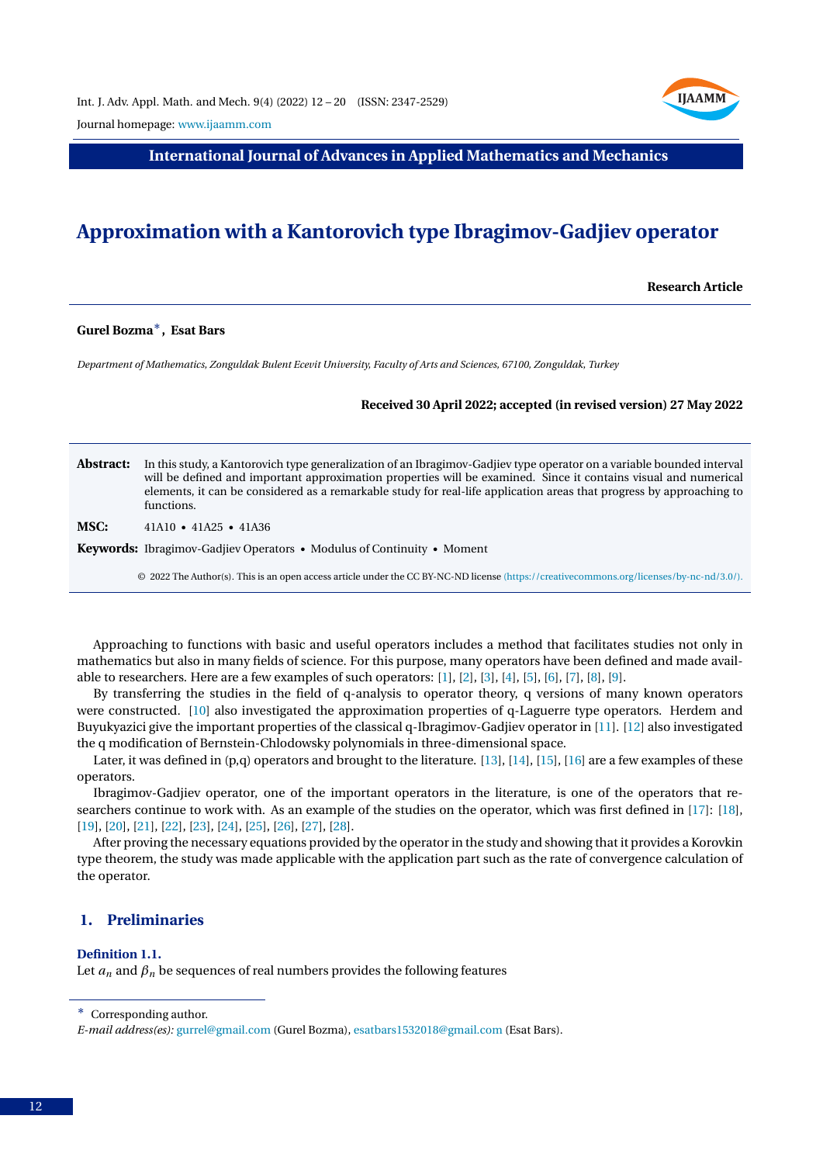

Journal homepage: [www.ijaamm.com](http://www.ijaamm.com/)

**International Journal of Advances in Applied Mathematics and Mechanics**

# **Approximation with a Kantorovich type Ibragimov-Gadjiev operator**

**Research Article**

# **Gurel Bozma**∗**, Esat Bars**

*Department of Mathematics, Zonguldak Bulent Ecevit University, Faculty of Arts and Sciences, 67100, Zonguldak, Turkey*

#### **Received 30 April 2022; accepted (in revised version) 27 May 2022**

#### **Abstract:** In this study, a Kantorovich type generalization of an Ibragimov-Gadjiev type operator on a variable bounded interval will be defined and important approximation properties will be examined. Since it contains visual and numerical elements, it can be considered as a remarkable study for real-life application areas that progress by approaching to functions.

**MSC:** 41A10 • 41A25 • 41A36

**Keywords:** Ibragimov-Gadjiev Operators • Modulus of Continuity • Moment

© 2022 The Author(s). This is an open access article under the CC BY-NC-ND license [\(https://creativecommons.org/licenses/by-nc-nd/3.0/\).](https://creativecommons.org/licenses/by-nc-nd/3.0/)

Approaching to functions with basic and useful operators includes a method that facilitates studies not only in mathematics but also in many fields of science. For this purpose, many operators have been defined and made available to researchers. Here are a few examples of such operators: [\[1\]](#page-7-0), [\[2\]](#page-7-1), [\[3\]](#page-7-2), [\[4\]](#page-7-3), [\[5\]](#page-7-4), [\[6\]](#page-7-5), [\[7\]](#page-8-0), [\[8\]](#page-8-1), [\[9\]](#page-8-2).

By transferring the studies in the field of q-analysis to operator theory, q versions of many known operators were constructed. [\[10\]](#page-8-3) also investigated the approximation properties of q-Laguerre type operators. Herdem and Buyukyazici give the important properties of the classical q-Ibragimov-Gadjiev operator in [\[11\]](#page-8-4). [\[12\]](#page-8-5) also investigated the q modification of Bernstein-Chlodowsky polynomials in three-dimensional space.

Later, it was defined in (p,q) operators and brought to the literature. [\[13\]](#page-8-6), [\[14\]](#page-8-7), [\[15\]](#page-8-8), [\[16\]](#page-8-9) are a few examples of these operators.

Ibragimov-Gadjiev operator, one of the important operators in the literature, is one of the operators that researchers continue to work with. As an example of the studies on the operator, which was first defined in [\[17\]](#page-8-10): [\[18\]](#page-8-11), [\[19\]](#page-8-12), [\[20\]](#page-8-13), [\[21\]](#page-8-14), [\[22\]](#page-8-15), [\[23\]](#page-8-16), [\[24\]](#page-8-17), [\[25\]](#page-8-18), [\[26\]](#page-8-19), [\[27\]](#page-8-20), [\[28\]](#page-8-21).

After proving the necessary equations provided by the operator in the study and showing that it provides a Korovkin type theorem, the study was made applicable with the application part such as the rate of convergence calculation of the operator.

# **1. Preliminaries**

#### <span id="page-0-0"></span>**Definition 1.1.**

Let  $a_n$  and  $\beta_n$  be sequences of real numbers provides the following features

<sup>∗</sup> Corresponding author.

*E-mail address(es):* [gurrel@gmail.com](mailto:gurrel@gmail.com) (Gurel Bozma), [esatbars1532018@gmail.com](mailto:esatbars1532018@gmail.com) (Esat Bars).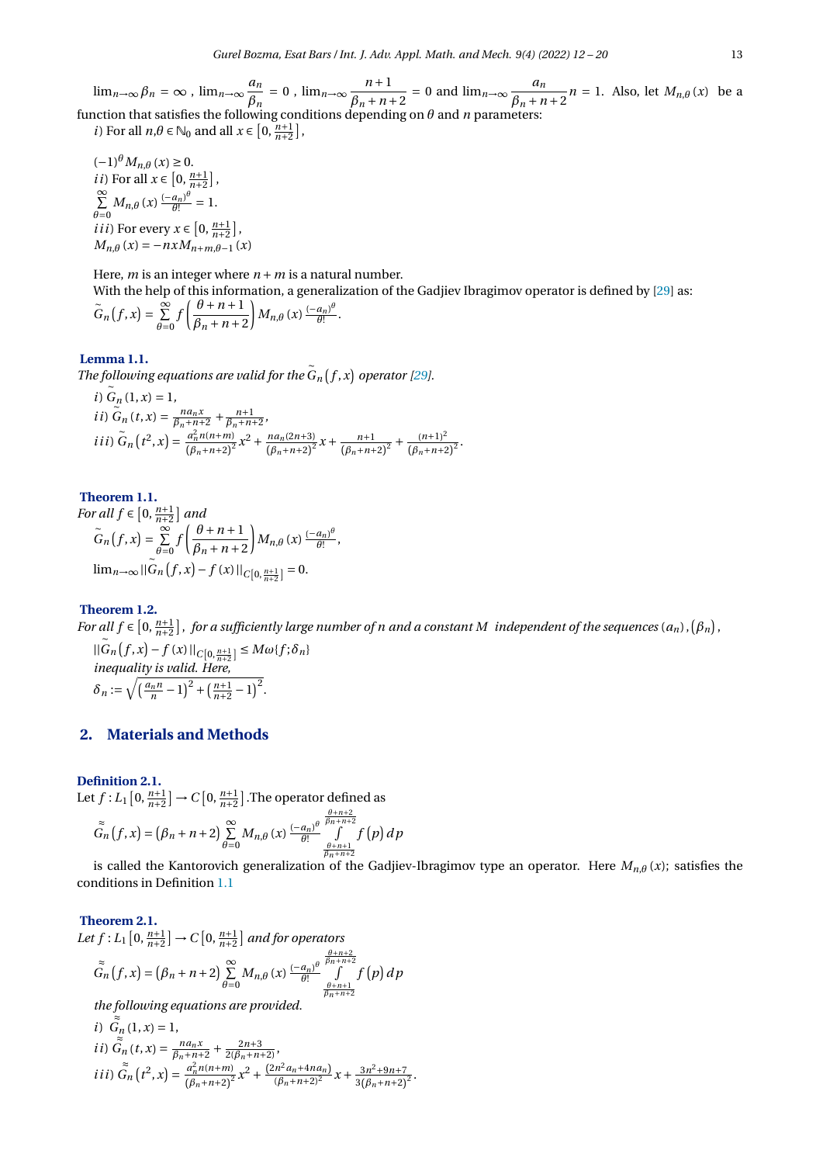$\lim_{n\to\infty}\beta_n=\infty$ ,  $\lim_{n\to\infty}\frac{a_n}{a_n}$  $\frac{a_n}{\beta_n} = 0$ ,  $\lim_{n \to \infty} \frac{n+1}{\beta_n + n}$  $\frac{n+1}{\beta_n + n + 2} = 0$  and  $\lim_{n \to \infty} \frac{a_n}{\beta_n + n}$  $\frac{a_n}{\beta_n + n + 2}$  *n* = 1. Also, let  $M_{n,\theta}(x)$  be a function that satisfies the following conditions depending on *θ* and *n* parameters:

*i*) For all  $n, \theta \in \mathbb{N}_0$  and all  $x \in \left[0, \frac{n+1}{n+2}\right]$ ,

 $(-1)$ <sup> $\theta$ </sup>*M*<sub>*n*</sub> $\theta$ </sub> (*x*) ≥ 0. *i i*) For all  $x \in [0, \frac{n+1}{n+2}]$ ,  $\sum^{\infty}$  $\sum_{\theta=0}^{\infty} M_{n,\theta}(x) \frac{(-a_n)^{\theta}}{\theta!}$  $\frac{a_n)^{\upsilon}}{\theta!} = 1.$ *i ii*) For every  $x \in [0, \frac{n+1}{n+2}]$ ,  $M_{n,\theta}(x) = -nxM_{n+m,\theta-1}(x)$ 

Here, *m* is an integer where  $n + m$  is a natural number.

With the help of this information, a generalization of the Gadjiev Ibragimov operator is defined by [\[29\]](#page-8-22) as:<br> $\tilde{e}^{\theta}$  (c, c)  $\tilde{e}^{\theta}$  ( $\theta + n + 1$ )  $\tilde{e}^{\theta}$  (c)  $\left(-a_n\right)^{\theta}$ 

$$
\widetilde{G}_n(f,x)=\sum_{\theta=0}^{\infty}f\left(\frac{\theta+n+1}{\beta_n+n+2}\right)M_{n,\theta}(x)\frac{(-a_n)^{\theta}}{\theta!}.
$$

#### <span id="page-1-0"></span>**Lemma 1.1.**

*The following equations are valid for the*  $\tilde{G}_n(f,x)$  operator [\[29\]](#page-8-22).<br>~

*i*) 
$$
G_n(1, x) = 1
$$
,  
\n*ii*)  $\tilde{G}_n(t, x) = \frac{na_n x}{\beta_n + n + 2} + \frac{n+1}{\beta_n + n + 2}$ ,  
\n*iii*)  $\tilde{G}_n(t^2, x) = \frac{a_n^2 n(n+m)}{(\beta_n + n + 2)^2} x^2 + \frac{n a_n (2n+3)}{(\beta_n + n + 2)^2} x + \frac{n+1}{(\beta_n + n + 2)^2} + \frac{(n+1)^2}{(\beta_n + n + 2)^2}$ .

∼

**Theorem 1.1.** *For all*  $f \in [0, \frac{n+1}{n+2}]$  *and*<br>∼ ∞ *( θ*  $\widetilde{G}_n(f,x) = \sum_{n=1}^{\infty}$  $\sum_{\theta=0}^{n+2} f\left(\frac{\theta+n+1}{\beta_n+n+2}\right)$  $\beta_n + n + 2$  $M_{n,\theta}(x) \frac{(-a_n)^{\theta}}{\theta!}$  $\frac{a_{n}}{\theta!}$ ,  $\lim_{n\to\infty}$ ||*G*<sub>*n*</sub></sub>(*f*,*x*) − *f* (*x*) ||<sub>*C*[0, $\frac{n+1}{n+2}$ ]</sub> = 0. ∼

#### **Theorem 1.2.**

*For all*  $f \in [0, \frac{n+1}{n+2}]$ , for a sufficiently large number of n and a constant M independent of the sequences  $(a_n)$ ,  $(\beta_n)$ ,  $||G_n(f, x) - f(x)||_{C[0, \frac{n+1}{n+2}]} \leq M\omega\{f; \delta_n\}$ *n*+2 *inequality is valid. Here,*  $\delta_n := \sqrt{\left(\frac{a_n n}{n} - 1\right)^2 + \left(\frac{n+1}{n+2} - 1\right)^2}.$ 

# **2. Materials and Methods**

# **Definition 2.1.**

Let  $f: L_1\left[0, \frac{n+1}{n+2}\right] \to C\left[0, \frac{n+1}{n+2}\right]$ . The operator defined as

$$
\tilde{G}_n(f,x) = (\beta_n + n + 2) \sum_{\theta=0}^{\infty} M_{n,\theta}(x) \frac{(-a_n)^{\theta}}{\theta!} \int_{\frac{\theta+n+2}{\beta_{n+n+2}}}^{\frac{\theta+n+2}{\beta_{n+n+2}}} f(p) dp
$$

is called the Kantorovich generalization of the Gadjiev-Ibragimov type an operator. Here *Mn*,*<sup>θ</sup>* (*x*); satisfies the conditions in Definition [1.1](#page-0-0)

#### <span id="page-1-1"></span>**Theorem 2.1.**

Let  $f: L_1\left[0, \frac{n+1}{n+2}\right] \to C\left[0, \frac{n+1}{n+2}\right]$  and for operators ≈  $\tilde{\tilde{G}}_n(f, x) = (\beta_n + n + 2) \sum_{n=1}^{\infty}$  $\sum_{\theta=0}^{\infty} M_{n,\theta}(x) \frac{(-a_n)^{\theta}}{\theta!}$ *θ*!  $\frac{\theta + n + 2}{\beta n + n + 2}$ *θ*+*n*+1 *βn* +*n*+2  $f(p) dp$ 

*the following equations are provided.* ≈

*i*) 
$$
\tilde{G}_n(1, x) = 1
$$
,  
\n*ii*)  $\tilde{G}_n(t, x) = \frac{na_n x}{\beta_n + n + 2} + \frac{2n + 3}{2(\beta_n + n + 2)}$ ,  
\n*iii*)  $\tilde{G}_n(t^2, x) = \frac{a_n^2 n(n + m)}{(\beta_n + n + 2)^2} x^2 + \frac{(2n^2 a_n + 4na_n)}{(\beta_n + n + 2)^2} x + \frac{3n^2 + 9n + 7}{3(\beta_n + n + 2)^2}$ .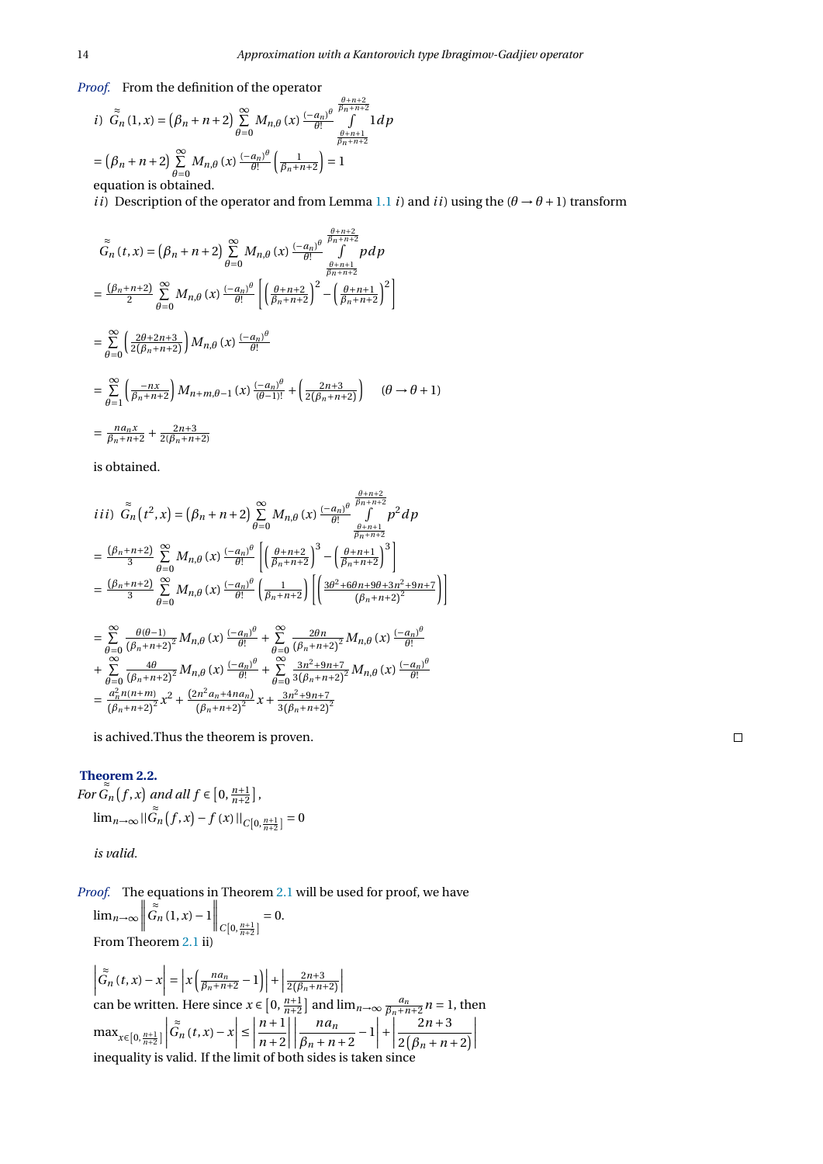*Proof.* From the definition of the operator

*i*) 
$$
\tilde{G}_n(1, x) = (\beta_n + n + 2) \sum_{\theta=0}^{\infty} M_{n,\theta}(x) \frac{(-a_n)^{\theta}}{\theta!} \int_{\beta+n+1}^{\beta+n+2} 1 d\beta
$$
  
\n $= (\beta_n + n + 2) \sum_{\theta=0}^{\infty} M_{n,\theta}(x) \frac{(-a_n)^{\theta}}{\theta!} \left(\frac{1}{\beta_n + n + 2}\right) = 1$   
\nequation is obtained.

*ii*) Description of the operator and from Lemma [1.1](#page-1-0) *i*) and *ii*) using the  $(\theta \rightarrow \theta + 1)$  transform

$$
\tilde{G}_{n}(t,x) = (\beta_{n} + n + 2) \sum_{\theta=0}^{\infty} M_{n,\theta}(x) \frac{(-a_{n})^{\theta}}{\theta!} \int_{\frac{\beta+n+1}{\beta_{n}+n+2}}^{\frac{\beta+n+2}{\beta_{n}+n+2}} pdp
$$
\n
$$
= \frac{(\beta_{n}+n+2)}{2} \sum_{\theta=0}^{\infty} M_{n,\theta}(x) \frac{(-a_{n})^{\theta}}{\theta!} \left[ \left( \frac{\theta+n+2}{\beta_{n}+n+2} \right)^{2} - \left( \frac{\theta+n+1}{\beta_{n}+n+2} \right)^{2} \right]
$$
\n
$$
= \sum_{\theta=0}^{\infty} \left( \frac{2\theta+2n+3}{2(\beta_{n}+n+2)} \right) M_{n,\theta}(x) \frac{(-a_{n})^{\theta}}{\theta!}
$$
\n
$$
= \sum_{\theta=1}^{\infty} \left( \frac{-nx}{\beta_{n}+n+2} \right) M_{n+m,\theta-1}(x) \frac{(-a_{n})^{\theta}}{(\theta-1)!} + \left( \frac{2n+3}{2(\beta_{n}+n+2)} \right) \quad (\theta \to \theta+1)
$$
\n
$$
= \frac{na_{n}x}{\beta_{n}+n+2} + \frac{2n+3}{2(\beta_{n}+n+2)}
$$

is obtained.

$$
iii) \tilde{G}_n(t^2, x) = (\beta_n + n + 2) \sum_{\theta=0}^{\infty} M_{n,\theta}(x) \frac{(-a_n)^{\theta}}{\theta!} \int_{\beta+n+1}^{\beta+n+2} p^2 dp
$$
  
\n
$$
= \frac{(\beta_n + n + 2)}{3} \sum_{\theta=0}^{\infty} M_{n,\theta}(x) \frac{(-a_n)^{\theta}}{\theta!} \left[ \left(\frac{\theta + n + 2}{\beta_n + n + 2}\right)^3 - \left(\frac{\theta + n + 1}{\beta_n + n + 2}\right)^3 \right]
$$
  
\n
$$
= \frac{(\beta_n + n + 2)}{3} \sum_{\theta=0}^{\infty} M_{n,\theta}(x) \frac{(-a_n)^{\theta}}{\theta!} \left(\frac{1}{\beta_n + n + 2}\right) \left[ \left(\frac{3\theta^2 + 6\theta n + 9\theta + 3n^2 + 9n + 7}{(\beta_n + n + 2)^2}\right) \right]
$$
  
\n
$$
= \sum_{\theta=0}^{\infty} \frac{\theta(\theta - 1)}{(\beta_n + n + 2)^2} M_{n,\theta}(x) \frac{(-a_n)^{\theta}}{\theta!} + \sum_{\theta=0}^{\infty} \frac{2\theta n}{(\beta_n + n + 2)^2} M_{n,\theta}(x) \frac{(-a_n)^{\theta}}{\theta!}
$$
  
\n
$$
+ \sum_{\theta=0}^{\infty} \frac{4\theta}{(\beta_n + n + 2)^2} M_{n,\theta}(x) \frac{(-a_n)^{\theta}}{\theta!} + \sum_{\theta=0}^{\infty} \frac{3n^2 + 9n + 7}{3(\beta_n + n + 2)^2} M_{n,\theta}(x) \frac{(-a_n)^{\theta}}{\theta!}
$$
  
\n
$$
= \frac{a_n^2 n(n + m)}{(\beta_n + n + 2)^2} x^2 + \frac{(2n^2 a_n + 4n a_n)}{(\beta_n + n + 2)^2} x + \frac{3n^2 + 9n + 7}{3(\beta_n + n + 2)^2}
$$

is achived.Thus the theorem is proven.

#### **Theorem 2.2.** ≈

*For*  $\widetilde{G}_n(f, x)$  and all  $f \in [0, \frac{n+1}{n+2}]$ ,  $\lim_{n\to\infty}$ || $\tilde{G}_n$  $G_n(f, x) - f(x) ||_{C[0, \frac{n+1}{n+2}]} = 0$ 

*is valid.*

*Proof.* The equations in Theorem [2.1](#page-1-1) will be used for proof, we have  $\lim_{n\to\infty}$   $\Big|$  $\left\| \sum_{C\left[0,\frac{n+1}{n+2}\right]}^{\infty} \right\| = 0.$ From Theorem [2.1](#page-1-1) ii)

 $\begin{array}{c} \begin{array}{c} \begin{array}{c} \begin{array}{c} \end{array} \\ \begin{array}{c} \end{array} \\ \begin{array}{c} \end{array} \\ \begin{array}{c} \end{array} \end{array} \end{array} \end{array}$  $\left| \overrightarrow{G}_n(t,x) - x \right| = \left| x \left( \frac{na_n}{\beta_n + n + 2} - 1 \right) \right| +$  $\frac{2n+3}{2(\beta_n+n+2)}$  $\begin{array}{c} \begin{array}{c} \begin{array}{c} \end{array} \\ \begin{array}{c} \end{array} \end{array} \end{array}$ can be written. Here since  $x \in [0, \frac{n+1}{n+2}]$  and  $\lim_{n\to\infty} \frac{a_n}{\beta_n+n+2} n = 1$ , then  $\max_{x \in [0, \frac{n+1}{n+2}]}$  $\begin{array}{|c|c|} \hline \hline \multicolumn{1}{|c|}{3} & \multicolumn{1}{|c|}{5} \\\hline \multicolumn{1}{|c|}{5} & \multicolumn{1}{|c|}{5} \\\hline \multicolumn{1}{|c|}{5} & \multicolumn{1}{|c|}{5} \\\hline \multicolumn{1}{|c|}{5} & \multicolumn{1}{|c|}{5} \\\hline \multicolumn{1}{|c|}{5} & \multicolumn{1}{|c|}{5} \\\hline \multicolumn{1}{|c|}{5} & \multicolumn{1}{|c|}{5} \\\hline \multicolumn{1}{|c|}{5} & \multic$  $\left| \sum_{n=1}^{\infty} (t, x) - x \right|$  $\leq$ *n* +1  $n + 2$  $\begin{array}{c} \begin{array}{c} \begin{array}{c} \begin{array}{c} \end{array} \\ \begin{array}{c} \end{array} \\ \begin{array}{c} \end{array} \\ \begin{array}{c} \end{array} \end{array} \end{array} \end{array}$  $\begin{array}{|c|c|} \hline \multicolumn{1}{|}{\textbf{1}} & \multicolumn{1}{|}{\textbf{1}} \\ \hline \multicolumn{1}{|}{\textbf{2}} & \multicolumn{1}{|}{\textbf{3}} \\ \hline \multicolumn{1}{|}{\textbf{4}} & \multicolumn{1}{|}{\textbf{5}} \\ \hline \multicolumn{1}{|}{\textbf{5}} & \multicolumn{1}{|}{\textbf{6}} \\ \hline \multicolumn{1}{|}{\textbf{6}} & \multicolumn{1}{|}{\textbf{6}} \\ \hline \multicolumn{1}{|}{\textbf{6}} & \multicolumn{1}{|}{\textbf{6}}$ *na<sup>n</sup>*  $\left| \frac{na_n}{\beta_n + n + 2} - 1 \right|$  $+$  $2n + 3$  $2(\beta_n + n + 2)$  $\begin{array}{c} \begin{array}{c} \begin{array}{c} \end{array} \\ \begin{array}{c} \end{array} \end{array} \end{array}$ inequality is valid. If the limit of both sides is taken since

 $\Box$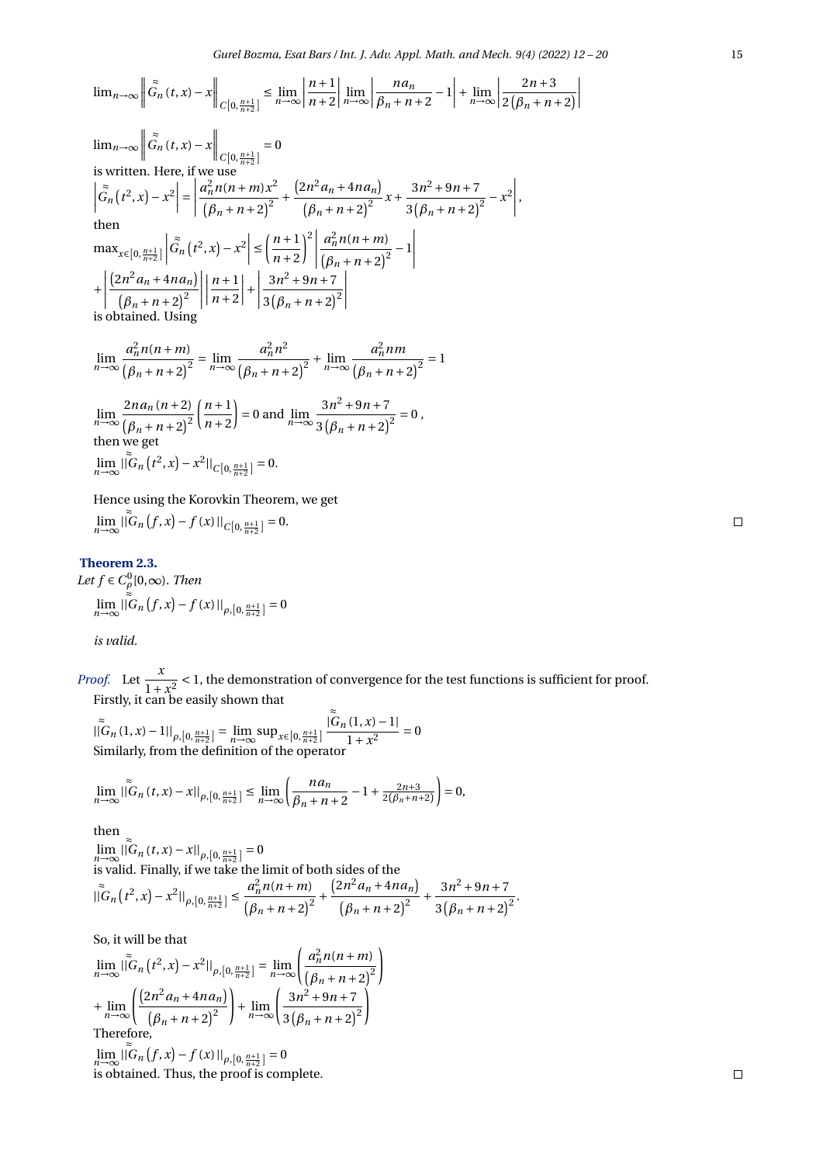$$
\lim_{n\to\infty}\left\|\tilde{G}_n(t,x)-x\right\|_{C\left[0,\frac{n+1}{n+2}\right]}\leq \lim_{n\to\infty}\left|\frac{n+1}{n+2}\right|\lim_{n\to\infty}\left|\frac{na_n}{\beta_n+n+2}-1\right|+\lim_{n\to\infty}\left|\frac{2n+3}{2\left(\beta_n+n+2\right)}\right|
$$

$$
\lim_{n\to\infty} \left\| \tilde{G}_n(t,x) - x \right\|_{C[0, \frac{n+1}{n+2}]} = 0
$$
\nis written. Here, if we use\n
$$
\left| \tilde{G}_n(t^2, x) - x^2 \right| = \left| \frac{a_n^2 n(n+m)x^2}{(\beta_n + n + 2)^2} + \frac{(2n^2 a_n + 4na_n)}{(\beta_n + n + 2)^2} x + \frac{3n^2 + 9n + 7}{3(\beta_n + n + 2)^2} - x^2 \right|,
$$
\nthen\n
$$
\max_{x \in [0, \frac{n+1}{n+2}]} \left| \tilde{G}_n(t^2, x) - x^2 \right| \le \left( \frac{n+1}{n+2} \right)^2 \left| \frac{a_n^2 n(n+m)}{(\beta_n + n + 2)^2} - 1 \right|
$$
\n
$$
+ \left| \frac{(2n^2 a_n + 4na_n)}{(\beta_n + n + 2)^2} \right| \left| \frac{n+1}{n+2} \right| + \left| \frac{3n^2 + 9n + 7}{3(\beta_n + n + 2)^2} \right|
$$
\nis obtained. Using

$$
\lim_{n \to \infty} \frac{a_n^2 n(n+m)}{(\beta_n + n + 2)^2} = \lim_{n \to \infty} \frac{a_n^2 n^2}{(\beta_n + n + 2)^2} + \lim_{n \to \infty} \frac{a_n^2 n m}{(\beta_n + n + 2)^2} = 1
$$
  

$$
\lim_{n \to \infty} \frac{2n a_n (n+2)}{(\beta_n + n + 2)^2} \left(\frac{n+1}{n+2}\right) = 0 \text{ and } \lim_{n \to \infty} \frac{3n^2 + 9n + 7}{3(\beta_n + n + 2)^2} = 0,
$$
  
then we get

$$
\lim_{n\to\infty}|\tilde{\tilde{G}}_n(t^2,x)-x^2||_{C[0,\frac{n+1}{n+2}]}=0.
$$

Hence using the Korovkin Theorem, we get

$$
\lim_{n\to\infty}\|\tilde{\tilde{G}}_n(f,x)-f(x)\|_{C[0,\frac{n+1}{n+2}]}=0.
$$

# **Theorem 2.3.**

Let  $f \in C^0_\rho[0,\infty)$ . *Then* lim*n*→∞  $\|\tilde{G}_n(f, x) - f(x)\|_{\rho, [0, \frac{n+1}{n+2}]} = 0$ *is valid.*

*Proof.* Let  $\frac{x}{1}$  $\frac{x}{1+x^2}$  < 1, the demonstration of convergence for the test functions is sufficient for proof. Firstly, it can be easily shown that ≈

$$
|\tilde{G}_n(1, x) - 1||_{\rho, [0, \frac{n+1}{n+2}]} = \lim_{n \to \infty} \sup_{x \in [0, \frac{n+1}{n+2}]} \frac{|G_n(1, x) - 1|}{1 + x^2} = 0
$$
  
Similarly, from the definition of the operator

$$
\lim_{n \to \infty} \left| \tilde{G}_n(t, x) - x \right| \Big|_{\rho, [0, \frac{n+1}{n+2}]} \le \lim_{n \to \infty} \left( \frac{n a_n}{\beta_n + n + 2} - 1 + \frac{2n+3}{2(\beta_n + n + 2)} \right) = 0,
$$

then ≈

$$
\lim_{n \to \infty} ||G_n(t, x) - x||_{\rho, [0, \frac{n+1}{n+2}]} = 0
$$
  
is valid. Finally, if we take the limit of both sides of the  

$$
||G_n(t^2, x) - x^2||_{\rho, [0, \frac{n+1}{n+2}]} \le \frac{a_n^2 n(n+m)}{(n+m+2)^2} + \frac{(2n^2 a_n + 4n a_n)}{(n+m+2)^2} + \frac{3n^2 + 9n + 7}{3(n+m+2)^2}.
$$

So, it will be that

$$
\lim_{n \to \infty} \left| \int_{0}^{\infty} (r^2, x) - x^2 \right|_{\rho, [0, \frac{n+1}{n+2}]} = \lim_{n \to \infty} \left( \frac{a_n^2 n(n+m)}{(\beta_n + n + 2)^2} \right)
$$
  
+ 
$$
\lim_{n \to \infty} \left( \frac{(2n^2 a_n + 4na_n)}{(\beta_n + n + 2)^2} \right) + \lim_{n \to \infty} \left( \frac{3n^2 + 9n + 7}{3(\beta_n + n + 2)^2} \right)
$$
  
Therefore,

lim*n*→∞  $\left|\int_{0}^{\infty} G_n(f, x) - f(x)\right|\right|_{\rho, [0, \frac{n+1}{n+2}]} = 0$ is obtained. Thus, the proof is complete.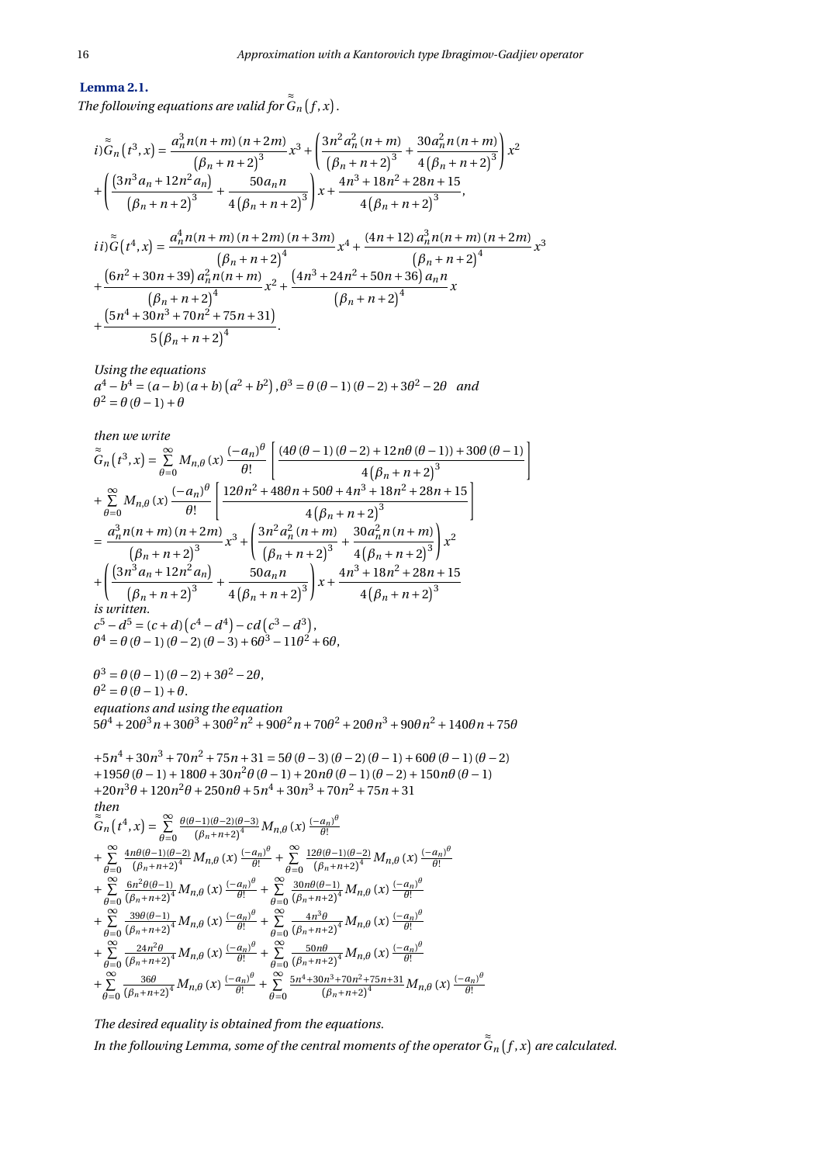# **Lemma 2.1.**

*The following equations are valid for* ≈  $G_n(f,x)$ .

$$
i)\tilde{G}_n(t^3, x) = \frac{a_n^3 n(n+m)(n+2m)}{(n+n+2)^3} x^3 + \left(\frac{3n^2 a_n^2 (n+m)}{(n+n+2)^3} + \frac{30a_n^2 n(n+m)}{4(n+n+2)^3}\right) x^2
$$
  
+ 
$$
\left(\frac{(3n^3 a_n + 12n^2 a_n)}{(n+n+2)^3} + \frac{50a_n n}{4(n+n+2)^3}\right) x + \frac{4n^3 + 18n^2 + 28n + 15}{4(n+n+2)^3},
$$
  
...
$$
\tilde{G}_n(4, 4) = \frac{a_n^4 n(n+m)(n+2m)(n+3m)}{(n+2)^3} (4n+12) a_n^3 n(n+m)(n+2m)(n+2m)(n+3m) + 4n^3 n^3 (4n+12) a_n^3 n(n+m)(n+2m)(n+3m) + 4n^4 n^3 (4n+12) a_n^3 n(n+m)(n+2m)(n+3m) + 4n^4 n^2 (4n+12) a_n^3 n(n+2m)(n+2m)(n+2m)(n+3m) + 4n^4 n^3 (4n+12) a_n^3 n(n+2m)(n+2m)(n+2m)(n+3m) + 4n^3 n^2 (4n+12) a_n^3 n(n+2m)(n+2m)(n+2m)(n+2m)(n+3m) + 4n^2 n^3 (4n+12) a_n^3 n(n+2m)(n+2m)(n+2m)(n+2m)(n+3m) + 4n^3 n^2 (4n+12) a_n^3 n(n+2m)(n+2m)(n+2m)(n+3m) + 4n^2 n^3 (4n+12) a_n^3 n(n+2m)(n+2m)(n+2m)(n+3m) + 4n^3 n^2 (4n+12) a_n^3 n(n+2m)(n+2m)(n+2m)(n+2m)(n+3m) + 4n^2 n^2 (4n+12) a_n^3 n(n+2m)(n+2m)(n+2m)(n+2m)(n+2m)(n+3m) + 4n^3 n^3 (4n+12) a_n^3 n(n+2m)(n+2m)(n+2m)(n+2m)(n+2m)(n+2m)(n+3m)(n+2m)(n+2m)(
$$

$$
ii)\tilde{G}(t^{4},x) = \frac{a_{n}^{4}n(n+m)(n+2m)(n+3m)}{(\beta_{n}+n+2)^{4}}x^{4} + \frac{(4n+12)a_{n}^{3}n(n+m)(n+2m)}{(\beta_{n}+n+2)^{4}}x^{3}
$$
  
+ 
$$
\frac{(6n^{2}+30n+39)a_{n}^{2}n(n+m)}{(n+n+2)^{4}}x^{2} + \frac{(4n^{3}+24n^{2}+50n+36)a_{n}n}{(\beta_{n}+n+2)^{4}}x + \frac{(5n^{4}+30n^{3}+70n^{2}+75n+31)}{5(\beta_{n}+n+2)^{4}}.
$$

*Using the equations*  $a^4 - b^4 = (a - b)(a + b)(a^2 + b^2), \theta^3 = \theta(\theta - 1)(\theta - 2) + 3\theta^2 - 2\theta$  *and*  $\theta^2 = \theta (\theta - 1) + \theta$ 

then we write  
\n
$$
\tilde{G}_n(t^3,x) = \sum_{\theta=0}^{\infty} M_{n,\theta}(x) \frac{(-a_n)^{\theta}}{\theta!} \left[ \frac{(4\theta(\theta-1)(\theta-2)+12n\theta(\theta-1))+30\theta(\theta-1)}{4(\beta_n+n+2)^3} \right]
$$
\n
$$
+ \sum_{\theta=0}^{\infty} M_{n,\theta}(x) \frac{(-a_n)^{\theta}}{\theta!} \left[ \frac{12\theta n^2+48\theta n+50\theta+4n^3+18n^2+28n+15}{4(\beta_n+n+2)^3} \right]
$$
\n
$$
= \frac{a_n^3 n(n+m)(n+2m)}{(\beta_n+n+2)^3} x^3 + \left( \frac{3n^2 a_n^2(n+m)}{(\beta_n+n+2)^3} + \frac{30a_n^2 n(n+m)}{4(\beta_n+n+2)^3} \right) x^2
$$
\n
$$
+ \left( \frac{(3n^3 a_n+12n^2 a_n)}{(\beta_n+n+2)^3} + \frac{50a_n n}{4(\beta_n+n+2)^3} \right) x + \frac{4n^3+18n^2+28n+15}{4(\beta_n+n+2)^3}
$$
\nis written.  
\n $c^5 - d^5 = (c+d)(c^4 - d^4) - cd(c^3 - d^3),$   
\n $\theta^4 = \theta(\theta-1)(\theta-2) + 3\theta^2 - 2\theta,$   
\n $\theta^2 = \theta(\theta-1)(\theta-2) + 3\theta^2 - 2\theta,$   
\n $\theta^2 = \theta(\theta-1) + \theta.$   
\nequations and using the equation  
\n $5\theta^4 + 20\theta^3 n + 30\theta^3 + 30\theta^2 n^2 + 90\theta^2 n + 70\theta^2 + 20\theta n^3 + 90\theta n^2 + 140\theta n + 75\theta$   
\n $+5n^4 + 30n^3 + 70n^2 + 75n + 31 = 5\theta(\theta-3)(\theta-2)(\theta-1)+60\theta(\theta-1)(\theta-2)+150n\theta(\theta-1)$   
\n $+20n^3\theta + 120n^2\theta + 250n\theta + 5n^4$ 

*The desired equality is obtained from the equations. In the following Lemma, some of the central moments of the operator* ≈  $G_n(f, x)$  are calculated.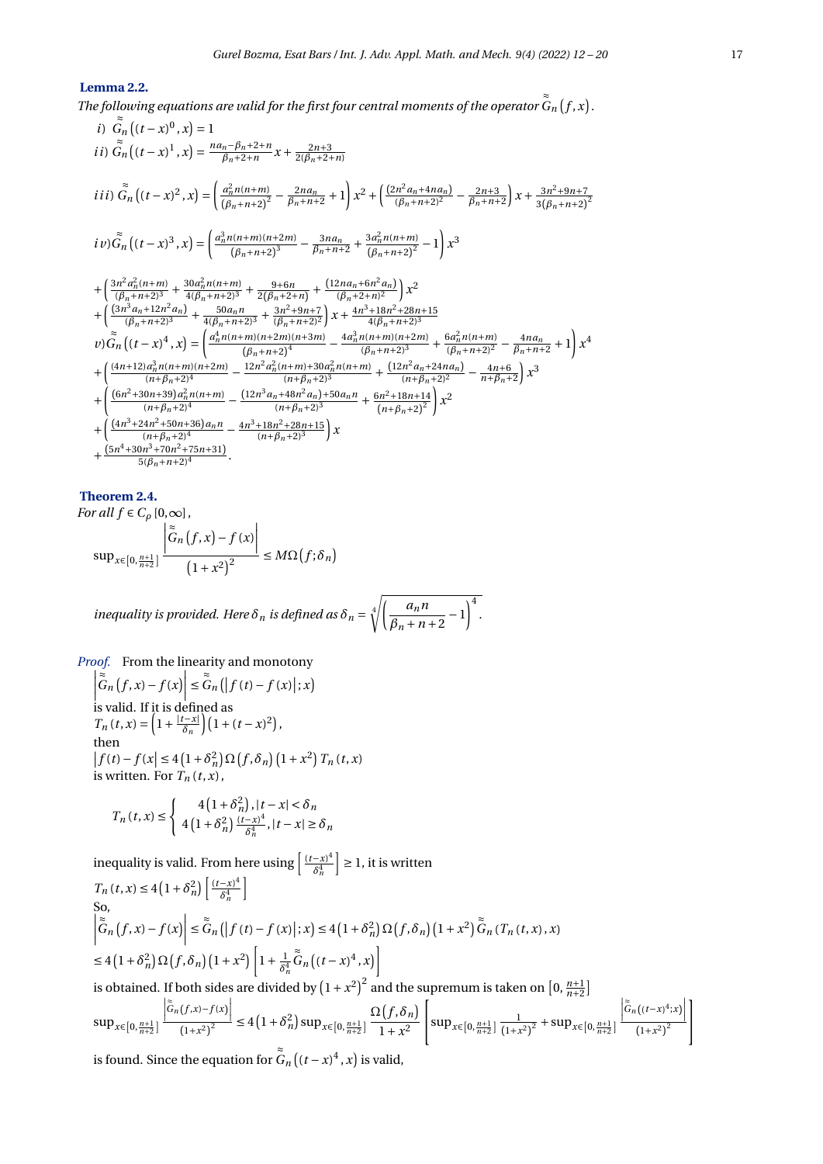# **Lemma 2.2.**

*The following equations are valid for the first four central moments of the operator* ≈ lowing equations are valid for the first four central moments of the operator G<sub>n</sub>  $(f, x)$  .<br>≈

*i)* 
$$
\tilde{G}_{n} \left( (t-x)^{0}, x \right) = 1
$$
\n*ii)* 
$$
\tilde{G}_{n} \left( (t-x)^{1}, x \right) = \frac{n a_{n} - \beta_{n} + 2 + n}{\beta_{n} + 2 + n} x + \frac{2n + 3}{2(\beta_{n} + 2 + n)}
$$
\n*iii)* 
$$
\tilde{G}_{n} \left( (t-x)^{2}, x \right) = \left( \frac{a_{n}^{2} n (n+m)}{(\beta_{n} + n + 2)^{2}} - \frac{2n a_{n}}{\beta_{n} + n + 2} + 1 \right) x^{2} + \left( \frac{(2n^{2} a_{n} + 4n a_{n})}{(\beta_{n} + n + 2)^{2}} - \frac{2n + 3}{\beta_{n} + n + 2} \right) x + \frac{3n^{2} + 9n + 7}{3(\beta_{n} + n + 2)^{2}}
$$
\n*iv*) 
$$
\tilde{G}_{n} \left( (t-x)^{3}, x \right) = \left( \frac{a_{n}^{3} n (n+m)(n+2m)}{(\beta_{n} + n + 2)^{3}} - \frac{3n a_{n}}{\beta_{n} + n + 2} + \frac{3a_{n}^{2} n (n+m)}{(\beta_{n} + n + 2)^{2}} - 1 \right) x^{3}
$$
\n
$$
+ \left( \frac{3n^{2} a_{n}^{2} (n+m)}{(\beta_{n} + n + 2)^{3}} + \frac{30a_{n}^{2} n (n+m)}{4(\beta_{n} + n + 2)^{3}} + \frac{9 + 6n}{2(\beta_{n} + 2 + n)} + \frac{(12n a_{n} + 6n^{2} a_{n})}{(\beta_{n} + 2 + n)^{2}} \right) x^{2}
$$
\n
$$
+ \left( \frac{(3n^{3} a_{n} + 12n^{2} a_{n})}{(\beta_{n} + n + 2)^{3}} + \frac{30a_{n} n}{4(\beta_{n} + n + 2)^{3}} + \frac{3n^{2} + 9n + 7}{3n^{2} + 9n + 2} \right) x + \frac{4n^{3} + 18n^{2} + 28n + 15}{(\beta_{n} + n + 2)^{3}}
$$
\n

#### **Theorem 2.4.**

For all 
$$
f \in C_\rho [0, \infty]
$$
,  
\n
$$
\sup_{x \in [0, \frac{n+1}{n+2}]} \left| \frac{\tilde{G}_n(f, x) - f(x)}{(1 + x^2)^2} \right| \le M\Omega(f; \delta_n)
$$

*inequality is provided. Here*  $\delta_n$  *is defined as*  $\delta_n = \sqrt[4]{\left(\frac{a_n n}{a_n}\right)^n}$  $\frac{a_n n}{\beta_n + n + 2} - 1$ <sup>4</sup>.

*Proof.* From the linearity and monotony  $\begin{array}{c} \begin{array}{c} \begin{array}{c} \end{array} \\ \begin{array}{c} \end{array} \end{array} \end{array}$ ≈  $\left| \sum_{i=1}^{\infty} f(x) - f(x) \right|$ ≤ ≈  $G_n([f(t) - f(x) |; x)$ is valid. If it is defined as  $T_n(t, x) = \left(1 + \frac{|t - x|}{\delta_n}\right)$  $\left(\frac{t-x}{\delta_n}\right)\left(1+(t-x)^2\right),$ then  $f(t) - f(x) \le 4(1+\delta_n^2) \Omega(f, \delta_n) (1+x^2) T_n(t, x)$ is written. For  $T_n(t, x)$ ,

$$
T_n(t,x) \leq \begin{cases} 4\left(1+\delta_n^2\right), |t-x| < \delta_n \\ 4\left(1+\delta_n^2\right) \frac{(t-x)^4}{\delta_n^4}, |t-x| \geq \delta_n \end{cases}
$$

inequality is valid. From here using  $\left[\frac{(t-x)^4}{s^4}\right]$ *δ* 4 *n*  $\vert \geq 1$ , it is written  $T_n(t, x) \leq 4 \left(1 + \delta_n^2\right) \left[ \frac{(t - x)^4}{\delta_n^4} \right]$ *δ* 4 *n* i So,  $\begin{array}{|c|c|} \hline \hline \multicolumn{1}{|c|}{3} & \multicolumn{1}{|c|}{5} \\\hline \multicolumn{1}{|c|}{5} & \multicolumn{1}{|c|}{5} \\\hline \multicolumn{1}{|c|}{5} & \multicolumn{1}{|c|}{5} \\\hline \multicolumn{1}{|c|}{5} & \multicolumn{1}{|c|}{5} \\\hline \multicolumn{1}{|c|}{5} & \multicolumn{1}{|c|}{5} \\\hline \multicolumn{1}{|c|}{5} & \multicolumn{1}{|c|}{5} \\\hline \multicolumn{1}{|c|}{5} & \multic$ ≈  $\left| \int_{0}^{\infty} f(x) - f(x) \right|$ ≤ ≈  $\tilde{\tilde{G}}_n([f(t)-f(x)];x) \leq 4(1+\delta_n^2)\Omega(f,\delta_n)(1+x^2)\tilde{\tilde{G}}_n(T_n(t,x),x)$  $\leq 4\left(1+\delta_n^2\right)\Omega\left(f,\delta_n\right)\left(1+x^2\right)\left[1+\frac{1}{\delta_n^2}\right]$ ≈  $\left[ \tilde{G}_n \left( (t-x)^4, x \right) \right]$ 

*δ* 4 *n*

is obtained. If both sides are divided by  $(1 + x^2)^2$  and the supremum is taken on  $[0, \frac{n+1}{n+2}]$ 

$$
\sup_{x \in [0, \frac{n+1}{n+2}]} \left| \frac{\left| \tilde{G}_n(f, x) - f(x) \right|}{(1+x^2)^2} \right| \le 4 \left( 1 + \delta_n^2 \right) \sup_{x \in [0, \frac{n+1}{n+2}]} \frac{\Omega \left( f, \delta_n \right)}{1+x^2} \left[ \sup_{x \in [0, \frac{n+1}{n+2}]} \frac{1}{(1+x^2)^2} + \sup_{x \in [0, \frac{n+1}{n+2}]} \left| \frac{\left| \tilde{G}_n((t-x)^4; x) \right|}{(1+x^2)^2} \right| \right]
$$

is found. Since the equation for  $G_n((t-x)^4, x)$  is valid,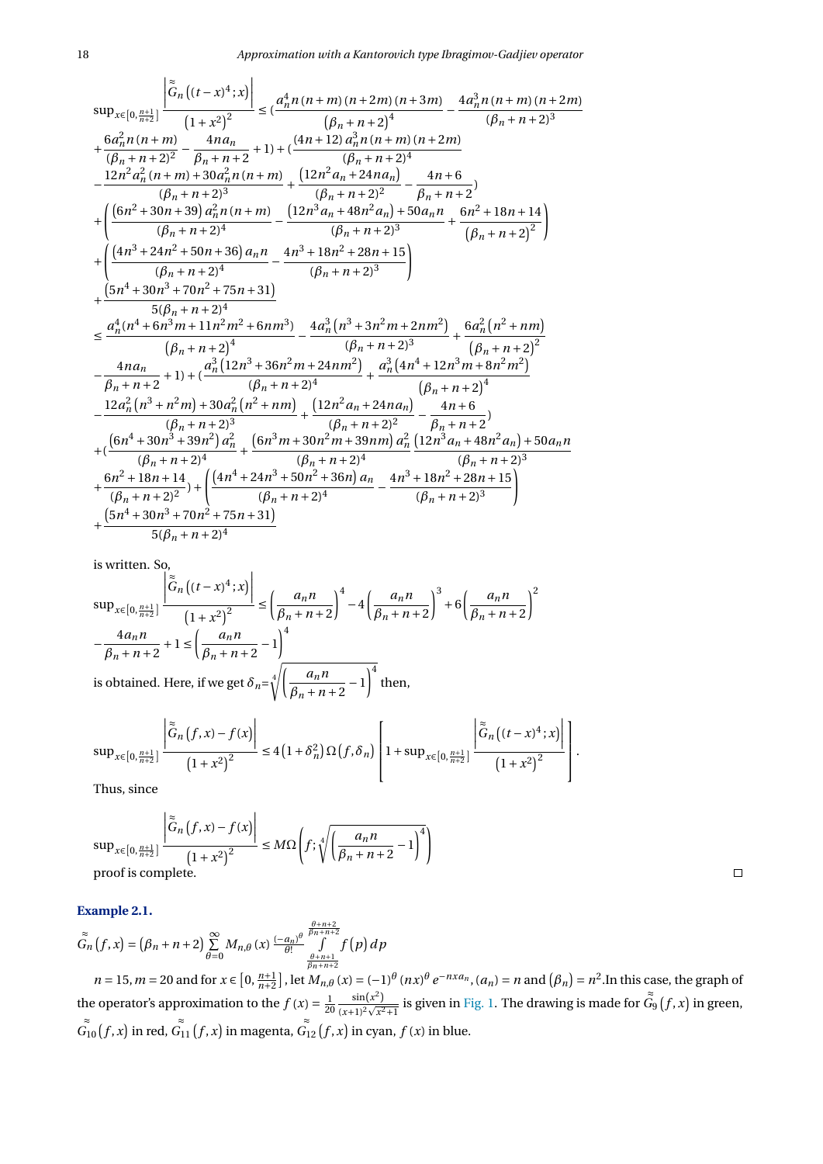$$
\sup_{x\in [0,\frac{n+1}{n+2}]} \left| \frac{\tilde{G}_n\left((t-x)^4;x\right)}{(1+x^2)^2} \right| \leq \left(\frac{a_n^4n(n+m)(n+2m)(n+3m)}{( \beta_n+n+2)^4} - \frac{4a_n^3n(n+m)(n+2m)}{(\beta_n+n+2)^3} \right|
$$
  
\n+  $\frac{6a_n^2n(n+m)}{(\beta_n+n+2)^2} - \frac{4na_n}{\beta_n+n+2} + 1 \right) + \left(\frac{(4n+12)a_n^3n(n+m)(n+2m)}{(\beta_n+n+2)^4} - \frac{12n^2a_n^2(n+m)+30a_n^2n(n+m)}{(\beta_n+n+2)^3} + \frac{(12n^2a_n+24na_n)}{(\beta_n+n+2)^2} - \frac{4n+6}{\beta_n+n+2} \right) + \left(\frac{(6n^2+30n+39)a_n^2n(n+m)}{(\beta_n+n+2)^4} - \frac{(12n^3a_n+48n^2a_n)+50a_n^2-6n^2+18n+14}{(\beta_n+n+2)^2} \right) + \left(\frac{(4n^3+24n^2+50n+36)a_n^2n}{(\beta_n+n+2)^4} - \frac{4n^3+18n^2+28n+15}{(\beta_n+n+2)^3} \right) + \frac{(5n^4+30n^3+70n^2+75n+31)}{5(\beta_n+n+2)^4} - \frac{4n^3+18n^2+28n+15}{(\beta_n+n+2)^3} + \frac{6a_n^2(n^2+nm)}{(\beta_n+n+2)^2} - \frac{4na_n^2}{(\beta_n+n+2)^4} - \frac{a_n^3(12n^3+36n^2m+24nm^2)}{(\beta_n+n+2)^3} + \frac{6a_n^2(n^2+nm)}{(\beta_n+n+2)^4} - \frac{12a_n^2(n^3+n^2m)+30a_n^2(n^2+nm)}{(\beta_n+n+2)^4} + \frac{(12n^2a_n+24na_n)}{(\beta_n+n+2)^4} - \frac{12a_n^2(n^3+n^2m)+30a_n^2(n^2+nm)}{(\beta_n+n+2)^3} + \frac{(12n^2a_n+24na_n)}{(\beta_n+n+2)^2} - \frac$ 

is written. So,

$$
\sup_{x \in [0, \frac{n+1}{n+2}]} \left| \frac{\left| \tilde{G}_n \left( (t-x)^4; x \right) \right|}{\left( 1+x^2 \right)^2} \right| \le \left( \frac{a_n n}{\beta_n + n + 2} \right)^4 - 4 \left( \frac{a_n n}{\beta_n + n + 2} \right)^3 + 6 \left( \frac{a_n n}{\beta_n + n + 2} \right)^2
$$
\n
$$
-\frac{4a_n n}{\beta_n + n + 2} + 1 \le \left( \frac{a_n n}{\beta_n + n + 2} - 1 \right)^4
$$
\nis obtained. Here, if we get  $\delta_n = \sqrt[4]{\left( \frac{a_n n}{\beta_n + n + 2} - 1 \right)^4}$  then,

$$
\sup_{x\in[0,\frac{n+1}{n+2}]} \left|\frac{\tilde{G}_n(f,x)-f(x)}{\left(1+x^2\right)^2}\right|\leq 4\left(1+\delta_n^2\right)\Omega\left(f,\delta_n\right)\left[1+\sup_{x\in[0,\frac{n+1}{n+2}]} \frac{\left|\tilde{G}_n\left((t-x)^4;x\right)\right|}{\left(1+x^2\right)^2}\right].
$$

Thus, since

$$
\sup_{x \in [0, \frac{n+1}{n+2}]} \left| \frac{\tilde{G}_n(f, x) - f(x)}{\left(1 + x^2\right)^2} \right| \le M\Omega \left(f; \sqrt[4]{\left(\frac{a_n n}{\beta_n + n + 2} - 1\right)^4} \right)
$$
\nproof is complete.

# **Example 2.1.**

$$
\widetilde{G}_n(f,x) = (\beta_n + n + 2) \sum_{\theta=0}^{\infty} M_{n,\theta}(x) \frac{(-a_n)^{\theta}}{\theta!} \int_{\frac{\theta+n+2}{\beta_n+n+2}}^{\frac{\theta+n+2}{\beta_n+n+2}} f(p) \, dp
$$

 $n = 15$ ,  $m = 20$  and for  $x \in [0, \frac{n+1}{n+2}]$ , let  $M_{n,\theta}(x) = (-1)^{\theta} (nx)^{\theta} e^{-nx a_n}$ ,  $(a_n) = n$  and  $(\beta_n) = n^2$ . In this case, the graph of the operator's approximation to the  $f(x) = \frac{1}{20} \frac{\sin(x^2)}{(x+1)^2 \sqrt{x^2}}$  $\frac{\sin(x)}{(x+1)^2}$  $\frac{1}{x^2+1}$  is given in [Fig. 1.](#page-7-6) The drawing is made for ≈  $G_9(f, x)$  in green,  $\tilde{G}_{10}(f, x)$  in red,  $\tilde{G}_{11}(f, x)$  in magenta,  $\tilde{G}_{12}(f, x)$  in cyan,  $f(x)$  in blue.

 $\Box$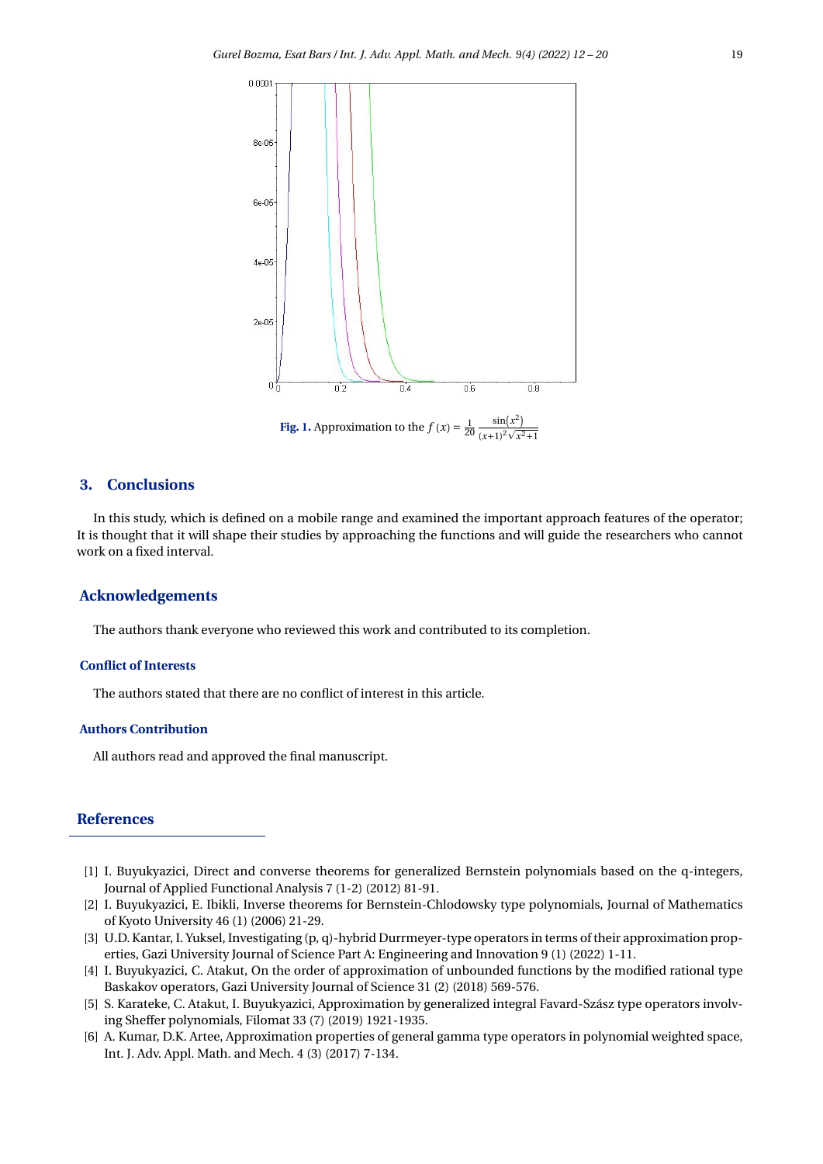<span id="page-7-6"></span>

**Fig. 1.** Approximation to the  $f(x) = \frac{1}{20}$  $\sin(x^2)$  $\frac{\sin(x)}{(x+1)^2}$  $x^2+1$ 

# **3. Conclusions**

In this study, which is defined on a mobile range and examined the important approach features of the operator; It is thought that it will shape their studies by approaching the functions and will guide the researchers who cannot work on a fixed interval.

# **Acknowledgements**

The authors thank everyone who reviewed this work and contributed to its completion.

#### **Conflict of Interests**

The authors stated that there are no conflict of interest in this article.

#### **Authors Contribution**

All authors read and approved the final manuscript.

## **References**

- <span id="page-7-0"></span>[1] I. Buyukyazici, Direct and converse theorems for generalized Bernstein polynomials based on the q-integers, Journal of Applied Functional Analysis 7 (1-2) (2012) 81-91.
- <span id="page-7-1"></span>[2] I. Buyukyazici, E. Ibikli, Inverse theorems for Bernstein-Chlodowsky type polynomials, Journal of Mathematics of Kyoto University 46 (1) (2006) 21-29.
- <span id="page-7-2"></span>[3] U.D. Kantar, I. Yuksel, Investigating (p, q)-hybrid Durrmeyer-type operators in terms of their approximation properties, Gazi University Journal of Science Part A: Engineering and Innovation 9 (1) (2022) 1-11.
- <span id="page-7-3"></span>[4] I. Buyukyazici, C. Atakut, On the order of approximation of unbounded functions by the modified rational type Baskakov operators, Gazi University Journal of Science 31 (2) (2018) 569-576.
- <span id="page-7-4"></span>[5] S. Karateke, C. Atakut, I. Buyukyazici, Approximation by generalized integral Favard-Szász type operators involving Sheffer polynomials, Filomat 33 (7) (2019) 1921-1935.
- <span id="page-7-5"></span>[6] A. Kumar, D.K. Artee, Approximation properties of general gamma type operators in polynomial weighted space, Int. J. Adv. Appl. Math. and Mech. 4 (3) (2017) 7-134.